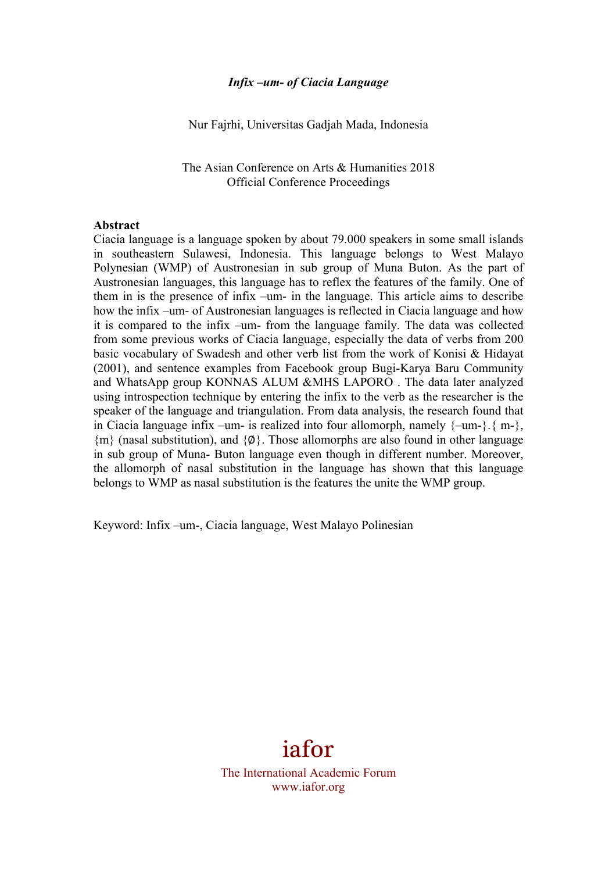#### *Infix –um- of Ciacia Language*

Nur Fajrhi, Universitas Gadjah Mada, Indonesia

The Asian Conference on Arts & Humanities 2018 Official Conference Proceedings

#### **Abstract**

Ciacia language is a language spoken by about 79.000 speakers in some small islands in southeastern Sulawesi, Indonesia. This language belongs to West Malayo Polynesian (WMP) of Austronesian in sub group of Muna Buton. As the part of Austronesian languages, this language has to reflex the features of the family. One of them in is the presence of infix –um- in the language. This article aims to describe how the infix –um- of Austronesian languages is reflected in Ciacia language and how it is compared to the infix –um- from the language family. The data was collected from some previous works of Ciacia language, especially the data of verbs from 200 basic vocabulary of Swadesh and other verb list from the work of Konisi & Hidayat (2001), and sentence examples from Facebook group Bugi-Karya Baru Community and WhatsApp group KONNAS ALUM &MHS LAPORO . The data later analyzed using introspection technique by entering the infix to the verb as the researcher is the speaker of the language and triangulation. From data analysis, the research found that in Ciacia language infix –um- is realized into four allomorph, namely  $\{-um-\}$ .  $\{m-\}$ , {m} (nasal substitution), and {∅}. Those allomorphs are also found in other language in sub group of Muna- Buton language even though in different number. Moreover, the allomorph of nasal substitution in the language has shown that this language belongs to WMP as nasal substitution is the features the unite the WMP group.

Keyword: Infix –um-, Ciacia language, West Malayo Polinesian

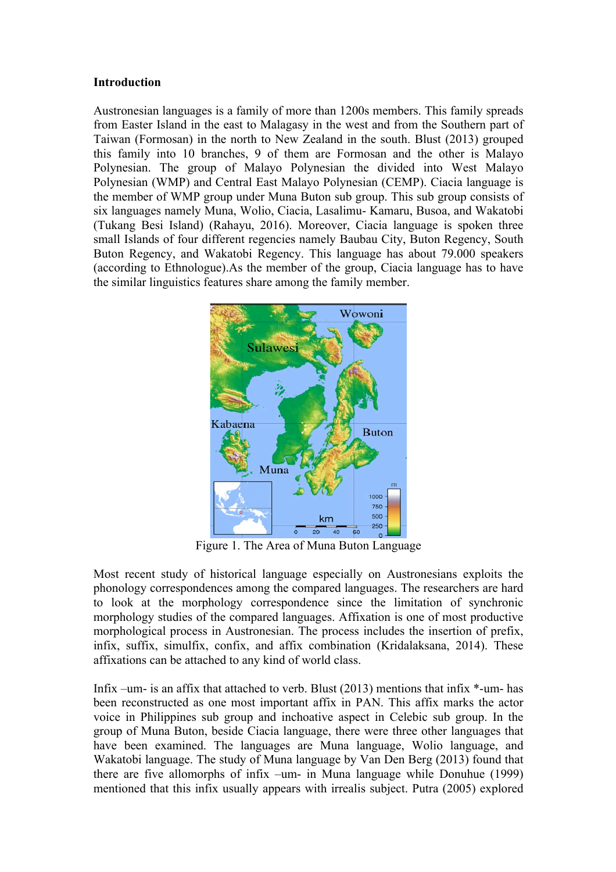### **Introduction**

Austronesian languages is a family of more than 1200s members. This family spreads from Easter Island in the east to Malagasy in the west and from the Southern part of Taiwan (Formosan) in the north to New Zealand in the south. Blust (2013) grouped this family into 10 branches, 9 of them are Formosan and the other is Malayo Polynesian. The group of Malayo Polynesian the divided into West Malayo Polynesian (WMP) and Central East Malayo Polynesian (CEMP). Ciacia language is the member of WMP group under Muna Buton sub group. This sub group consists of six languages namely Muna, Wolio, Ciacia, Lasalimu- Kamaru, Busoa, and Wakatobi (Tukang Besi Island) (Rahayu, 2016). Moreover, Ciacia language is spoken three small Islands of four different regencies namely Baubau City, Buton Regency, South Buton Regency, and Wakatobi Regency. This language has about 79.000 speakers (according to Ethnologue).As the member of the group, Ciacia language has to have the similar linguistics features share among the family member.



Figure 1. The Area of Muna Buton Language

Most recent study of historical language especially on Austronesians exploits the phonology correspondences among the compared languages. The researchers are hard to look at the morphology correspondence since the limitation of synchronic morphology studies of the compared languages. Affixation is one of most productive morphological process in Austronesian. The process includes the insertion of prefix, infix, suffix, simulfix, confix, and affix combination (Kridalaksana, 2014). These affixations can be attached to any kind of world class.

Infix –um- is an affix that attached to verb. Blust (2013) mentions that infix \*-um- has been reconstructed as one most important affix in PAN. This affix marks the actor voice in Philippines sub group and inchoative aspect in Celebic sub group. In the group of Muna Buton, beside Ciacia language, there were three other languages that have been examined. The languages are Muna language, Wolio language, and Wakatobi language. The study of Muna language by Van Den Berg (2013) found that there are five allomorphs of infix –um- in Muna language while Donuhue (1999) mentioned that this infix usually appears with irrealis subject. Putra (2005) explored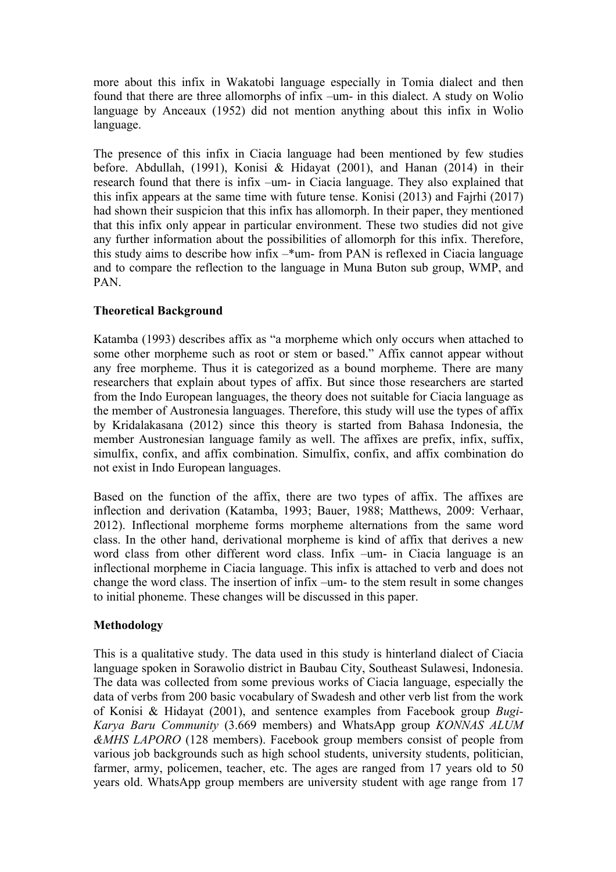more about this infix in Wakatobi language especially in Tomia dialect and then found that there are three allomorphs of infix –um- in this dialect. A study on Wolio language by Anceaux (1952) did not mention anything about this infix in Wolio language.

The presence of this infix in Ciacia language had been mentioned by few studies before. Abdullah, (1991), Konisi & Hidayat (2001), and Hanan (2014) in their research found that there is infix –um- in Ciacia language. They also explained that this infix appears at the same time with future tense. Konisi (2013) and Fajrhi (2017) had shown their suspicion that this infix has allomorph. In their paper, they mentioned that this infix only appear in particular environment. These two studies did not give any further information about the possibilities of allomorph for this infix. Therefore, this study aims to describe how infix –\*um- from PAN is reflexed in Ciacia language and to compare the reflection to the language in Muna Buton sub group, WMP, and PAN.

# **Theoretical Background**

Katamba (1993) describes affix as "a morpheme which only occurs when attached to some other morpheme such as root or stem or based." Affix cannot appear without any free morpheme. Thus it is categorized as a bound morpheme. There are many researchers that explain about types of affix. But since those researchers are started from the Indo European languages, the theory does not suitable for Ciacia language as the member of Austronesia languages. Therefore, this study will use the types of affix by Kridalakasana (2012) since this theory is started from Bahasa Indonesia, the member Austronesian language family as well. The affixes are prefix, infix, suffix, simulfix, confix, and affix combination. Simulfix, confix, and affix combination do not exist in Indo European languages.

Based on the function of the affix, there are two types of affix. The affixes are inflection and derivation (Katamba, 1993; Bauer, 1988; Matthews, 2009: Verhaar, 2012). Inflectional morpheme forms morpheme alternations from the same word class. In the other hand, derivational morpheme is kind of affix that derives a new word class from other different word class. Infix –um- in Ciacia language is an inflectional morpheme in Ciacia language. This infix is attached to verb and does not change the word class. The insertion of infix –um- to the stem result in some changes to initial phoneme. These changes will be discussed in this paper.

# **Methodology**

This is a qualitative study. The data used in this study is hinterland dialect of Ciacia language spoken in Sorawolio district in Baubau City, Southeast Sulawesi, Indonesia. The data was collected from some previous works of Ciacia language, especially the data of verbs from 200 basic vocabulary of Swadesh and other verb list from the work of Konisi & Hidayat (2001), and sentence examples from Facebook group *Bugi-Karya Baru Community* (3.669 members) and WhatsApp group *KONNAS ALUM &MHS LAPORO* (128 members). Facebook group members consist of people from various job backgrounds such as high school students, university students, politician, farmer, army, policemen, teacher, etc. The ages are ranged from 17 years old to 50 years old. WhatsApp group members are university student with age range from 17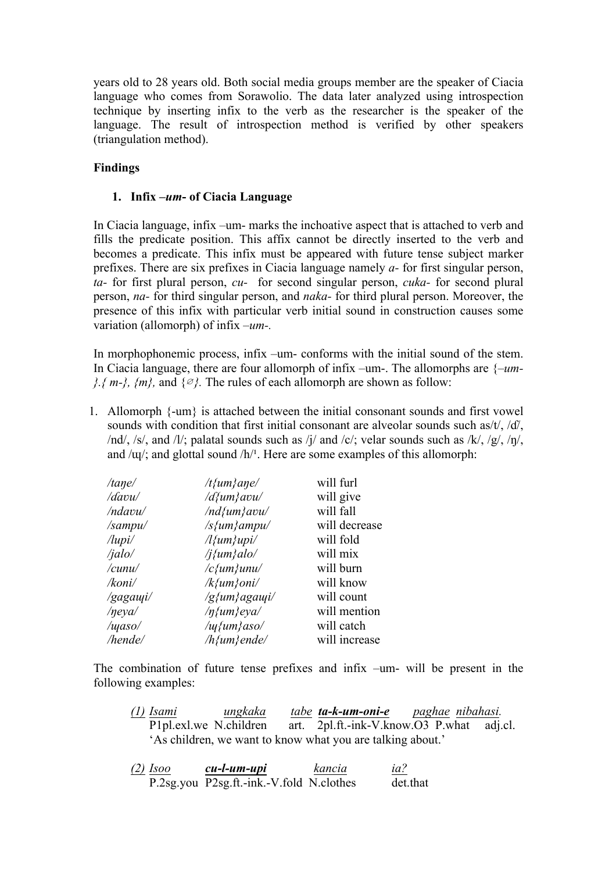years old to 28 years old. Both social media groups member are the speaker of Ciacia language who comes from Sorawolio. The data later analyzed using introspection technique by inserting infix to the verb as the researcher is the speaker of the language. The result of introspection method is verified by other speakers (triangulation method).

### **Findings**

### **1. Infix –***um***- of Ciacia Language**

In Ciacia language, infix –um- marks the inchoative aspect that is attached to verb and fills the predicate position. This affix cannot be directly inserted to the verb and becomes a predicate. This infix must be appeared with future tense subject marker prefixes. There are six prefixes in Ciacia language namely *a-* for first singular person, *ta-* for first plural person, *cu-* for second singular person, *cuka-* for second plural person, *na-* for third singular person, and *naka-* for third plural person. Moreover, the presence of this infix with particular verb initial sound in construction causes some variation (allomorph) of infix *–um-.*

In morphophonemic process, infix –um- conforms with the initial sound of the stem. In Ciacia language, there are four allomorph of infix –um-. The allomorphs are {*–um- }.{ m-}, {m}*, and {∅}. The rules of each allomorph are shown as follow:

1. Allomorph {-um} is attached between the initial consonant sounds and first vowel sounds with condition that first initial consonant are alveolar sounds such as/t/, /d/, /nd/, /s/, and /l/; palatal sounds such as /j/ and /c/; velar sounds such as /k/, /g/, /n/, and  $/\psi$ ; and glottal sound  $/h$ <sup>1</sup>. Here are some examples of this allomorph:

| /tane/             | $/t$ {um}ane/               | will furl     |
|--------------------|-----------------------------|---------------|
| /davu/             | $d\{um\}avu$                | will give     |
| /ndavu/            | $/nd$ {um}avu/              | will fall     |
| /sampu/            | $\sqrt{s}$ {um} ampu/       | will decrease |
| $\ell$ lupi $\ell$ | $\lambda$ {um}upi $\lambda$ | will fold     |
| /jalo/             | /j{um}alo/                  | will mix      |
| /cunu/             | $\sqrt{c}$ {um}unu/         | will burn     |
| /koni/             | $\mathcal{R}\{um\}$ oni/    | will know     |
| /gagauji/          | $\sqrt{g}$ {um}agauji/      | will count    |
| /neya/             | $/\eta$ {um}eya/            | will mention  |
| /waso/             | $\mu\$ {um}\aso/            | will catch    |
| hende/             | $/h$ {um}ende/              | will increase |
|                    |                             |               |

The combination of future tense prefixes and infix –um- will be present in the following examples:

| <u>(1)</u> Isami       | <u>ungkaka</u> | <u>tabe</u> <b>ta-k-um-oni-e</b> paghae nibahasi.          |  |
|------------------------|----------------|------------------------------------------------------------|--|
| P1pl.exl.we N.children |                | art. 2pl.ft.-ink-V.know.O3 P.what adj.cl.                  |  |
|                        |                | 'As children, we want to know what you are talking about.' |  |

*(2) Isoo cu-l-um-upi kancia ia?* P.2sg.you P2sg.ft.-ink.-V.fold N.clothes det.that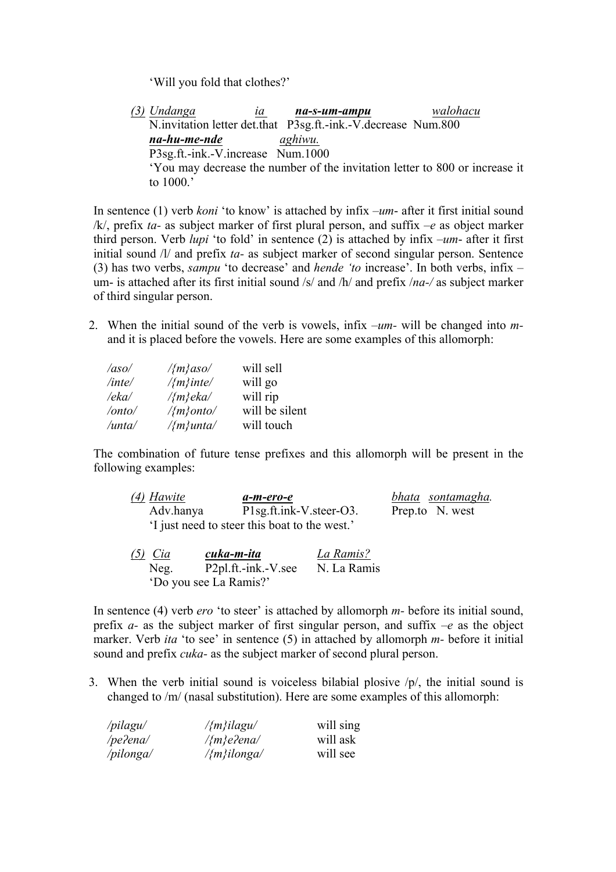'Will you fold that clothes?'

*(3) Undanga ia na-s-um-ampu walohacu*  N.invitation letter det.that P3sg.ft.-ink.-V.decrease Num.800 *na-hu-me-nde aghiwu.* P3sg.ft.-ink.-V.increase Num.1000 'You may decrease the number of the invitation letter to 800 or increase it to 1000.'

In sentence (1) verb *koni* 'to know' is attached by infix –*um*- after it first initial sound /k/, prefix *ta-* as subject marker of first plural person, and suffix *–e* as object marker third person. Verb *lupi* 'to fold' in sentence (2) is attached by infix –*um*- after it first initial sound /l/ and prefix *ta-* as subject marker of second singular person. Sentence (3) has two verbs, *sampu* 'to decrease' and *hende 'to* increase'. In both verbs, infix – um- is attached after its first initial sound /s/ and /h/ and prefix /*na-/* as subject marker of third singular person.

2. When the initial sound of the verb is vowels, infix –*um-* will be changed into *m*and it is placed before the vowels. Here are some examples of this allomorph:

| /aso/  | $\frac{1}{2}m\}$ aso/  | will sell      |
|--------|------------------------|----------------|
| /inte/ | $\frac{1}{2}m\}$ inte/ | will go        |
| /eka/  | $\frac{1}{m}$ eka/     | will rip       |
| /onto/ | $\frac{1}{2}m\}$ onto/ | will be silent |
| /unta/ | $\frac{1}{2}m\}$ unta/ | will touch     |

The combination of future tense prefixes and this allomorph will be present in the following examples:

| (4) Hawite | a-m-ero-e                                    | bhata sontamagha. |
|------------|----------------------------------------------|-------------------|
| Adv.hanya  | P1sg.ft.ink-V.steer-O3.                      | Prep.to N. west   |
|            | I just need to steer this boat to the west.' |                   |

| $(5)$ Cia | cuka-m-ita             | La Ramis?   |
|-----------|------------------------|-------------|
| Neg.      | P2pl.ft.-ink.-V.see    | N. La Ramis |
|           | 'Do you see La Ramis?' |             |

In sentence (4) verb *ero* 'to steer' is attached by allomorph *m-* before its initial sound, prefix *a-* as the subject marker of first singular person, and suffix *–e* as the object marker. Verb *ita* 'to see' in sentence (5) in attached by allomorph *m-* before it initial sound and prefix *cuka-* as the subject marker of second plural person.

3. When the verb initial sound is voiceless bilabial plosive /p/, the initial sound is changed to /m/ (nasal substitution). Here are some examples of this allomorph:

| /pilagu/  | $\frac{1}{m}$ ilagu/     | will sing |
|-----------|--------------------------|-----------|
| /pe?ena/  | $\frac{1}{m}$ e?ena/     | will ask  |
| /pilonga/ | $\frac{1}{2}m\}$ ilonga/ | will see  |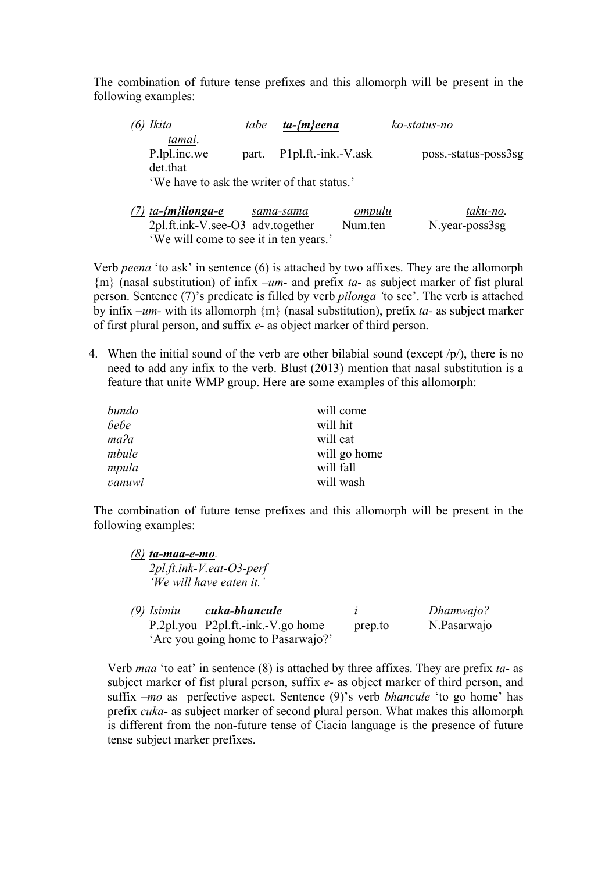The combination of future tense prefixes and this allomorph will be present in the following examples:

| (6) Ikita                          | tabe | $ta$ -{m}eena                               | ko-status-no         |
|------------------------------------|------|---------------------------------------------|----------------------|
| tamai.<br>P.lpl.inc.we<br>det that |      | part. P1pl.ft.-ink.-V.ask                   | poss.-status-poss3sg |
|                                    |      | 'We have to ask the writer of that status.' |                      |

| $(7)$ ta- $\{m\}$ ilonga-e             | sama-sama | <u>ompulu</u> | taku-no.       |
|----------------------------------------|-----------|---------------|----------------|
| $2pl.$ ft.ink-V.see-O3 adv.together    |           | Num.ten       | N.year-poss3sg |
| 'We will come to see it in ten years.' |           |               |                |

Verb *peena* 'to ask' in sentence (6) is attached by two affixes. They are the allomorph {m} (nasal substitution) of infix –*um-* and prefix *ta-* as subject marker of fist plural person. Sentence (7)'s predicate is filled by verb *pilonga '*to see'. The verb is attached by infix *–um-* with its allomorph {m} (nasal substitution), prefix *ta-* as subject marker of first plural person, and suffix *e-* as object marker of third person.

4. When the initial sound of the verb are other bilabial sound (except  $/p/$ ), there is no need to add any infix to the verb. Blust (2013) mention that nasal substitution is a feature that unite WMP group. Here are some examples of this allomorph:

| bundo  | will come    |
|--------|--------------|
| bebe   | will hit     |
| таʔа   | will eat     |
| mbule  | will go home |
| mpula  | will fall    |
| vanuwi | will wash    |

The combination of future tense prefixes and this allomorph will be present in the following examples:

| ta-maa-e-mo. |                                     |           |
|--------------|-------------------------------------|-----------|
|              | $2pl.$ ft.ink- $V.$ eat- $O3$ -perf |           |
|              | 'We will have eaten it.'            |           |
| 79)          |                                     |           |
| Isimiu       | cuka-bhancule                       | Dhamwajo? |

| P.2pl.you P2pl.ft.-ink.-V.go home  | prep.to | N.Pasarwajo |
|------------------------------------|---------|-------------|
| 'Are you going home to Pasarwajo?' |         |             |
|                                    |         |             |

Verb *maa* 'to eat' in sentence (8) is attached by three affixes. They are prefix *ta-* as subject marker of fist plural person, suffix *e-* as object marker of third person, and suffix *–mo* as perfective aspect. Sentence (9)'s verb *bhancule* 'to go home' has prefix *cuka-* as subject marker of second plural person. What makes this allomorph is different from the non-future tense of Ciacia language is the presence of future tense subject marker prefixes.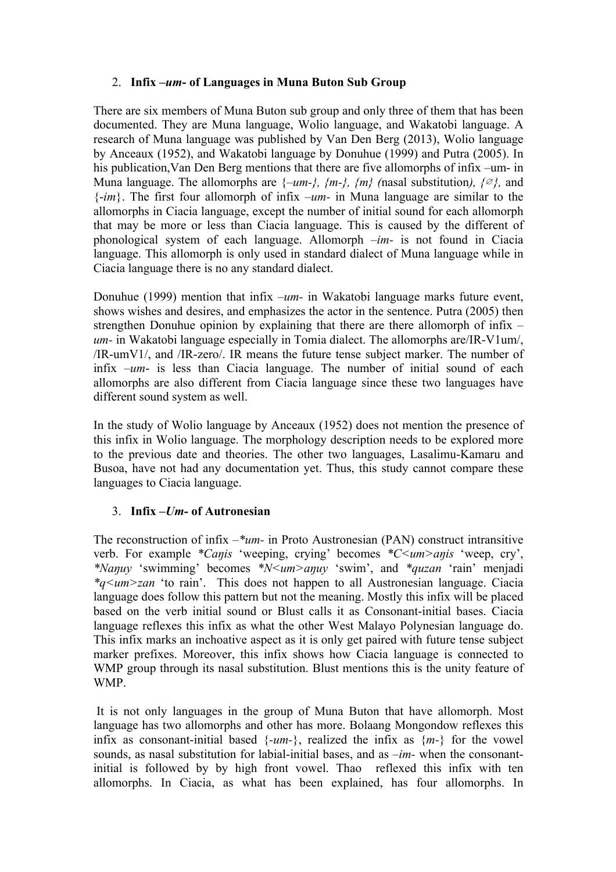# 2. **Infix –***um***- of Languages in Muna Buton Sub Group**

There are six members of Muna Buton sub group and only three of them that has been documented. They are Muna language, Wolio language, and Wakatobi language. A research of Muna language was published by Van Den Berg (2013), Wolio language by Anceaux (1952), and Wakatobi language by Donuhue (1999) and Putra (2005). In his publication,Van Den Berg mentions that there are five allomorphs of infix –um- in Muna language. The allomorphs are  $\{-um-\}$ ,  $\{m-\}$ ,  $\{m\}$  (nasal substitution),  $\{\emptyset\}$ , and {-*im*}. The first four allomorph of infix –*um-* in Muna language are similar to the allomorphs in Ciacia language, except the number of initial sound for each allomorph that may be more or less than Ciacia language. This is caused by the different of phonological system of each language. Allomorph *–im-* is not found in Ciacia language. This allomorph is only used in standard dialect of Muna language while in Ciacia language there is no any standard dialect.

Donuhue (1999) mention that infix *–um-* in Wakatobi language marks future event, shows wishes and desires, and emphasizes the actor in the sentence. Putra (2005) then strengthen Donuhue opinion by explaining that there are there allomorph of infix *– um-* in Wakatobi language especially in Tomia dialect. The allomorphs are/IR-V1um/, /IR-umV1/, and /IR-zero/. IR means the future tense subject marker. The number of infix –*um*- is less than Ciacia language. The number of initial sound of each allomorphs are also different from Ciacia language since these two languages have different sound system as well.

In the study of Wolio language by Anceaux (1952) does not mention the presence of this infix in Wolio language. The morphology description needs to be explored more to the previous date and theories. The other two languages, Lasalimu-Kamaru and Busoa, have not had any documentation yet. Thus, this study cannot compare these languages to Ciacia language.

# 3. **Infix –***Um-* **of Autronesian**

The reconstruction of infix *–\*um-* in Proto Austronesian (PAN) construct intransitive verb. For example *\*Caŋis* 'weeping, crying' becomes *\*C<um>aŋis* 'weep, cry', *\*Naŋuy* 'swimming' becomes *\*N<um>aŋuy* 'swim', and *\*quzan* 'rain' menjadi *\*q<um>zan* 'to rain'. This does not happen to all Austronesian language. Ciacia language does follow this pattern but not the meaning. Mostly this infix will be placed based on the verb initial sound or Blust calls it as Consonant-initial bases. Ciacia language reflexes this infix as what the other West Malayo Polynesian language do. This infix marks an inchoative aspect as it is only get paired with future tense subject marker prefixes. Moreover, this infix shows how Ciacia language is connected to WMP group through its nasal substitution. Blust mentions this is the unity feature of WMP.

It is not only languages in the group of Muna Buton that have allomorph. Most language has two allomorphs and other has more. Bolaang Mongondow reflexes this infix as consonant-initial based {*-um-*}, realized the infix as {*m-*} for the vowel sounds, as nasal substitution for labial-initial bases, and as *–im-* when the consonantinitial is followed by by high front vowel. Thao reflexed this infix with ten allomorphs. In Ciacia, as what has been explained, has four allomorphs. In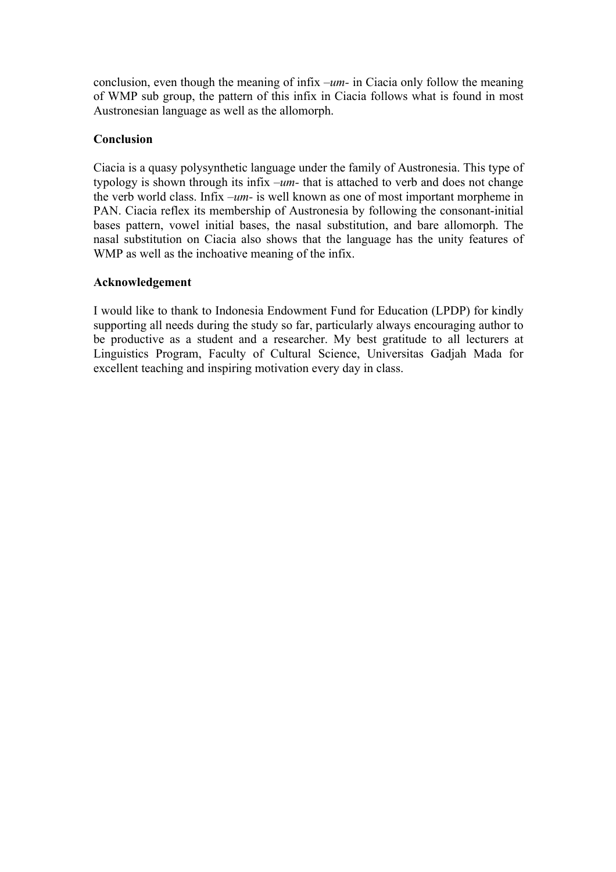conclusion, even though the meaning of infix *–um-* in Ciacia only follow the meaning of WMP sub group, the pattern of this infix in Ciacia follows what is found in most Austronesian language as well as the allomorph.

### **Conclusion**

Ciacia is a quasy polysynthetic language under the family of Austronesia. This type of typology is shown through its infix –*um-* that is attached to verb and does not change the verb world class. Infix *–um-* is well known as one of most important morpheme in PAN. Ciacia reflex its membership of Austronesia by following the consonant-initial bases pattern, vowel initial bases, the nasal substitution, and bare allomorph. The nasal substitution on Ciacia also shows that the language has the unity features of WMP as well as the inchoative meaning of the infix.

### **Acknowledgement**

I would like to thank to Indonesia Endowment Fund for Education (LPDP) for kindly supporting all needs during the study so far, particularly always encouraging author to be productive as a student and a researcher. My best gratitude to all lecturers at Linguistics Program, Faculty of Cultural Science, Universitas Gadjah Mada for excellent teaching and inspiring motivation every day in class.